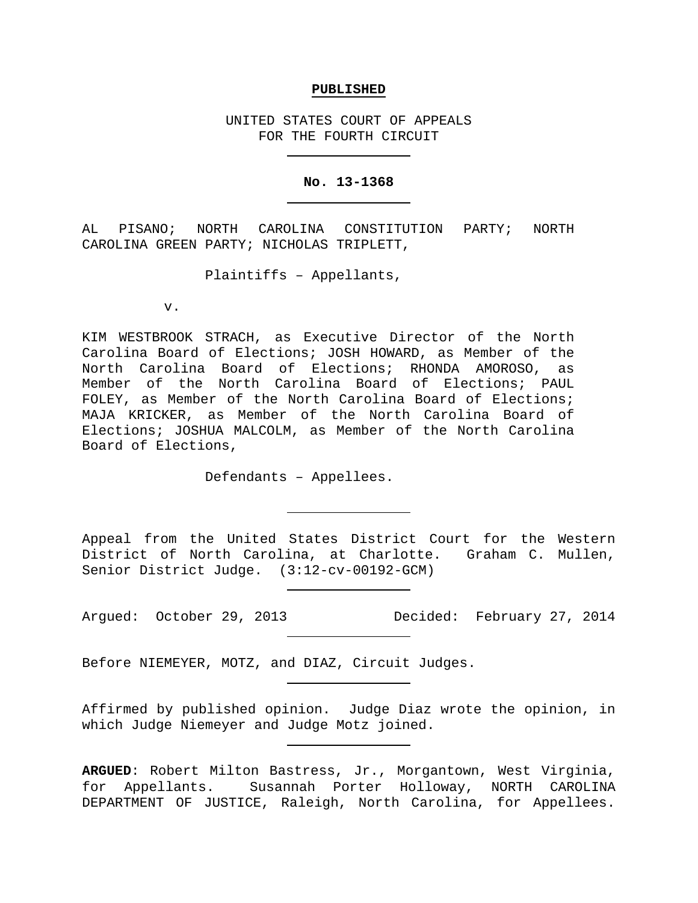#### **PUBLISHED**

UNITED STATES COURT OF APPEALS FOR THE FOURTH CIRCUIT

#### **No. 13-1368**

AL PISANO; NORTH CAROLINA CONSTITUTION PARTY; NORTH CAROLINA GREEN PARTY; NICHOLAS TRIPLETT,

Plaintiffs – Appellants,

v.

KIM WESTBROOK STRACH, as Executive Director of the North Carolina Board of Elections; JOSH HOWARD, as Member of the North Carolina Board of Elections; RHONDA AMOROSO, as Member of the North Carolina Board of Elections; PAUL FOLEY, as Member of the North Carolina Board of Elections; MAJA KRICKER, as Member of the North Carolina Board of Elections; JOSHUA MALCOLM, as Member of the North Carolina Board of Elections,

Defendants – Appellees.

Appeal from the United States District Court for the Western District of North Carolina, at Charlotte. Graham C. Mullen, Senior District Judge. (3:12-cv-00192-GCM)

Argued: October 29, 2013 Decided: February 27, 2014

Before NIEMEYER, MOTZ, and DIAZ, Circuit Judges.

Affirmed by published opinion. Judge Diaz wrote the opinion, in which Judge Niemeyer and Judge Motz joined.

**ARGUED**: Robert Milton Bastress, Jr., Morgantown, West Virginia, for Appellants. Susannah Porter Holloway, NORTH CAROLINA DEPARTMENT OF JUSTICE, Raleigh, North Carolina, for Appellees.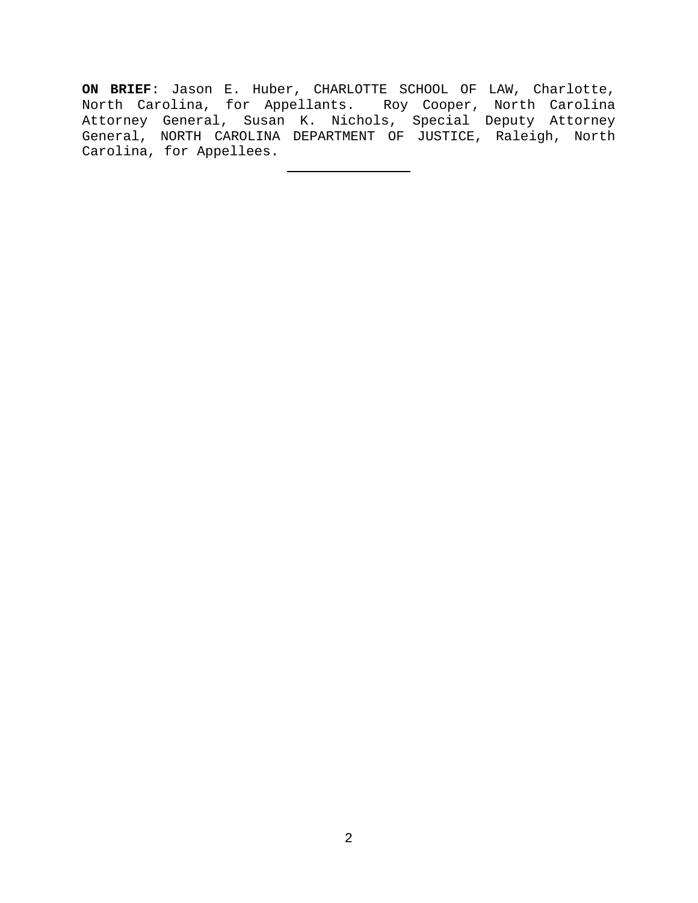**ON BRIEF**: Jason E. Huber, CHARLOTTE SCHOOL OF LAW, Charlotte, North Carolina, for Appellants. Roy Cooper, North Carolina Attorney General, Susan K. Nichols, Special Deputy Attorney General, NORTH CAROLINA DEPARTMENT OF JUSTICE, Raleigh, North Carolina, for Appellees.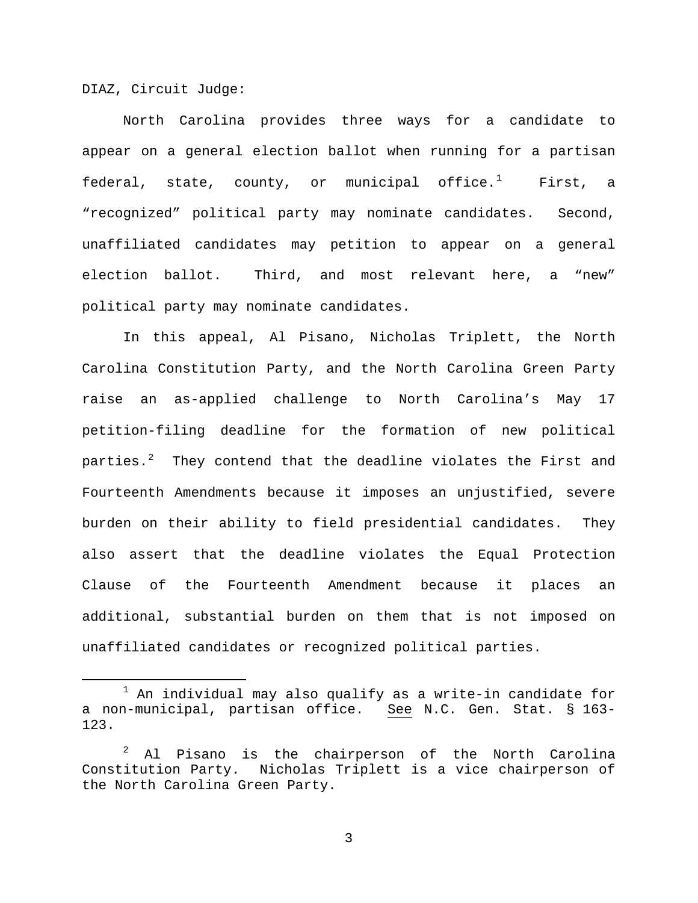DIAZ, Circuit Judge:

North Carolina provides three ways for a candidate to appear on a general election ballot when running for a partisan federal, state, county, or municipal office.<sup>[1](#page-2-0)</sup> First, a "recognized" political party may nominate candidates. Second, unaffiliated candidates may petition to appear on a general election ballot. Third, and most relevant here, a "new" political party may nominate candidates.

In this appeal, Al Pisano, Nicholas Triplett, the North Carolina Constitution Party, and the North Carolina Green Party raise an as-applied challenge to North Carolina's May 17 petition-filing deadline for the formation of new political parties. $^2$  $^2$  They contend that the deadline violates the First and Fourteenth Amendments because it imposes an unjustified, severe burden on their ability to field presidential candidates. They also assert that the deadline violates the Equal Protection Clause of the Fourteenth Amendment because it places an additional, substantial burden on them that is not imposed on unaffiliated candidates or recognized political parties.

<span id="page-2-0"></span> $1$  An individual may also qualify as a write-in candidate for a non-municipal, partisan office. See N.C. Gen. Stat. § 163- 123.

<span id="page-2-1"></span><sup>2</sup> Al Pisano is the chairperson of the North Carolina Constitution Party. Nicholas Triplett is a vice chairperson of the North Carolina Green Party.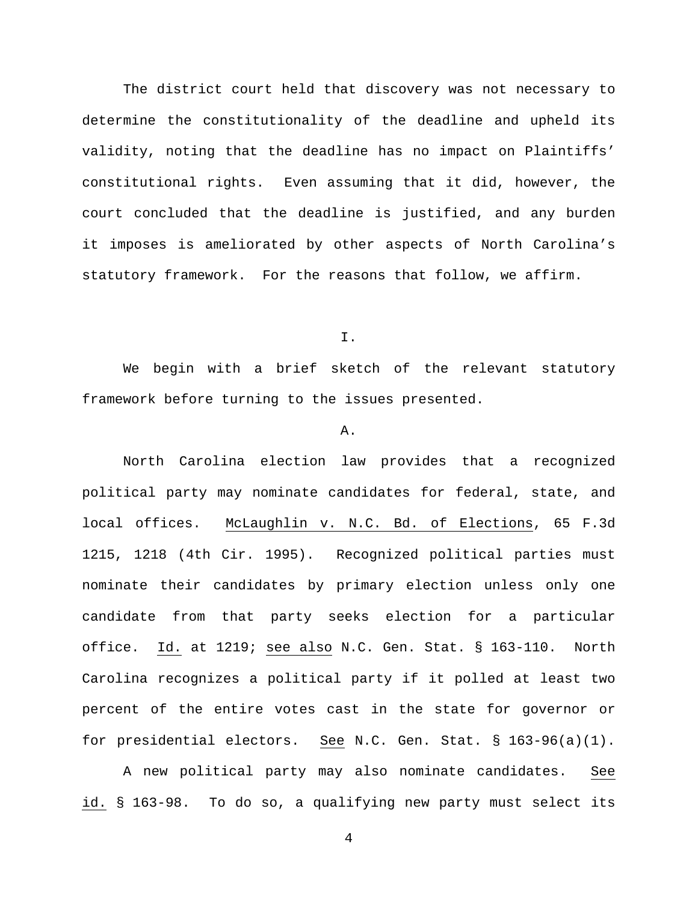The district court held that discovery was not necessary to determine the constitutionality of the deadline and upheld its validity, noting that the deadline has no impact on Plaintiffs' constitutional rights. Even assuming that it did, however, the court concluded that the deadline is justified, and any burden it imposes is ameliorated by other aspects of North Carolina's statutory framework. For the reasons that follow, we affirm.

I.

We begin with a brief sketch of the relevant statutory framework before turning to the issues presented.

## A.

North Carolina election law provides that a recognized political party may nominate candidates for federal, state, and local offices. McLaughlin v. N.C. Bd. of Elections, 65 F.3d 1215, 1218 (4th Cir. 1995). Recognized political parties must nominate their candidates by primary election unless only one candidate from that party seeks election for a particular office. Id. at 1219; see also N.C. Gen. Stat. § 163-110. North Carolina recognizes a political party if it polled at least two percent of the entire votes cast in the state for governor or for presidential electors. See N.C. Gen. Stat. § 163-96(a)(1).

A new political party may also nominate candidates. See id. § 163-98. To do so, a qualifying new party must select its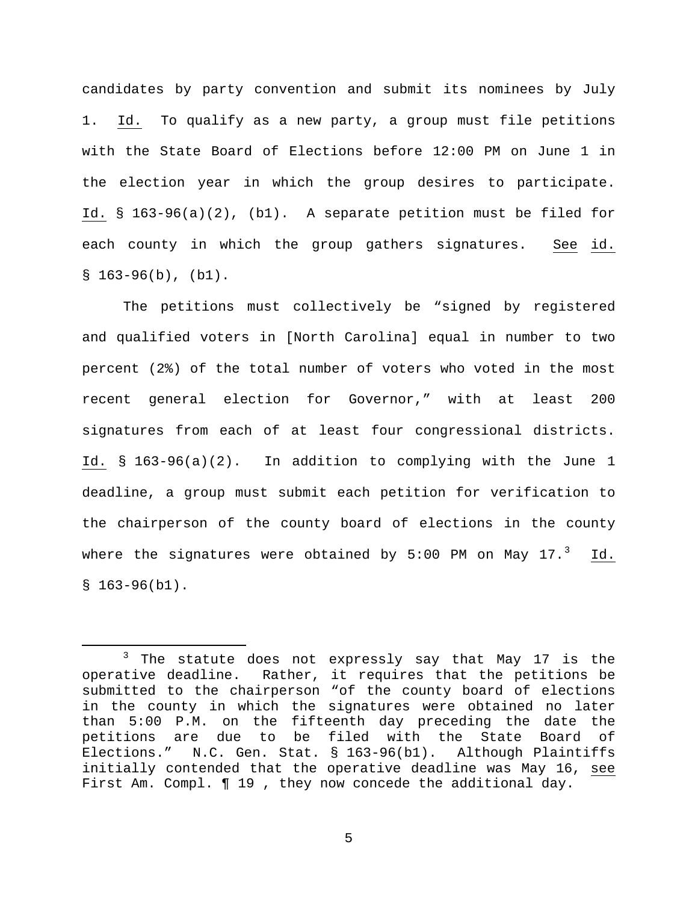candidates by party convention and submit its nominees by July 1. Id. To qualify as a new party, a group must file petitions with the State Board of Elections before 12:00 PM on June 1 in the election year in which the group desires to participate. Id. § 163-96(a)(2), (b1). A separate petition must be filed for each county in which the group gathers signatures. See id.  $$163-96(b), (b1).$ 

The petitions must collectively be "signed by registered and qualified voters in [North Carolina] equal in number to two percent (2%) of the total number of voters who voted in the most recent general election for Governor," with at least 200 signatures from each of at least four congressional districts. Id. § 163-96(a)(2). In addition to complying with the June 1 deadline, a group must submit each petition for verification to the chairperson of the county board of elections in the county where the signatures were obtained by  $5:00$  PM on May  $17.^3$  $17.^3$   $\underline{\text{Id.}}$  $$163-96(b1)$ .

<span id="page-4-0"></span><sup>&</sup>lt;sup>3</sup> The statute does not expressly say that May 17 is the operative deadline. Rather, it requires that the petitions be submitted to the chairperson "of the county board of elections in the county in which the signatures were obtained no later than 5:00 P.M. on the fifteenth day preceding the date the petitions are due to be filed with the State Board of<br>Elections." N.C. Gen. Stat. § 163-96(b1). Although Plaintiffs Elections." N.C. Gen. Stat.  $\S$  163-96(b1). initially contended that the operative deadline was May 16, see First Am. Compl.  $\P$  19, they now concede the additional day.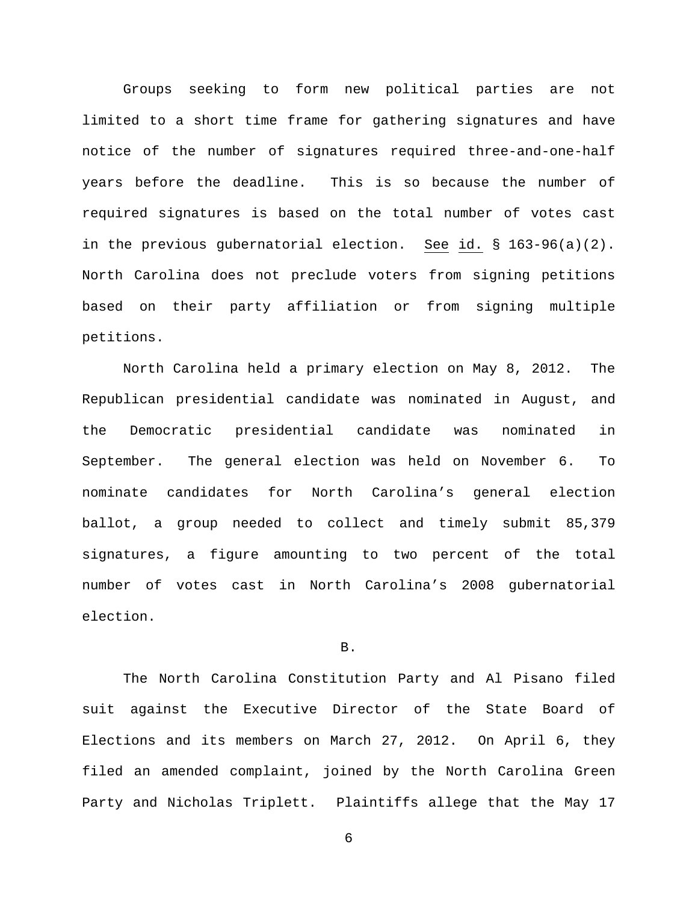Groups seeking to form new political parties are not limited to a short time frame for gathering signatures and have notice of the number of signatures required three-and-one-half years before the deadline. This is so because the number of required signatures is based on the total number of votes cast in the previous gubernatorial election. See id. § 163-96(a)(2). North Carolina does not preclude voters from signing petitions based on their party affiliation or from signing multiple petitions.

North Carolina held a primary election on May 8, 2012. The Republican presidential candidate was nominated in August, and the Democratic presidential candidate was nominated in September. The general election was held on November 6. To nominate candidates for North Carolina's general election ballot, a group needed to collect and timely submit 85,379 signatures, a figure amounting to two percent of the total number of votes cast in North Carolina's 2008 gubernatorial election.

## B.

The North Carolina Constitution Party and Al Pisano filed suit against the Executive Director of the State Board of Elections and its members on March 27, 2012. On April 6, they filed an amended complaint, joined by the North Carolina Green Party and Nicholas Triplett. Plaintiffs allege that the May 17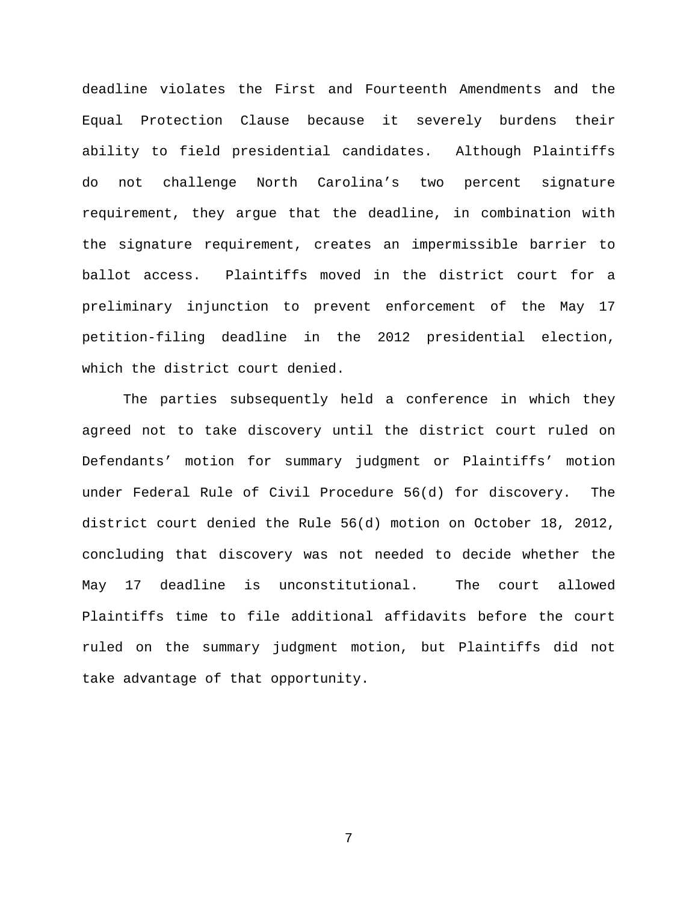deadline violates the First and Fourteenth Amendments and the Equal Protection Clause because it severely burdens their ability to field presidential candidates. Although Plaintiffs do not challenge North Carolina's two percent signature requirement, they argue that the deadline, in combination with the signature requirement, creates an impermissible barrier to ballot access. Plaintiffs moved in the district court for a preliminary injunction to prevent enforcement of the May 17 petition-filing deadline in the 2012 presidential election, which the district court denied.

The parties subsequently held a conference in which they agreed not to take discovery until the district court ruled on Defendants' motion for summary judgment or Plaintiffs' motion under Federal Rule of Civil Procedure 56(d) for discovery. The district court denied the Rule 56(d) motion on October 18, 2012, concluding that discovery was not needed to decide whether the May 17 deadline is unconstitutional. The court allowed Plaintiffs time to file additional affidavits before the court ruled on the summary judgment motion, but Plaintiffs did not take advantage of that opportunity.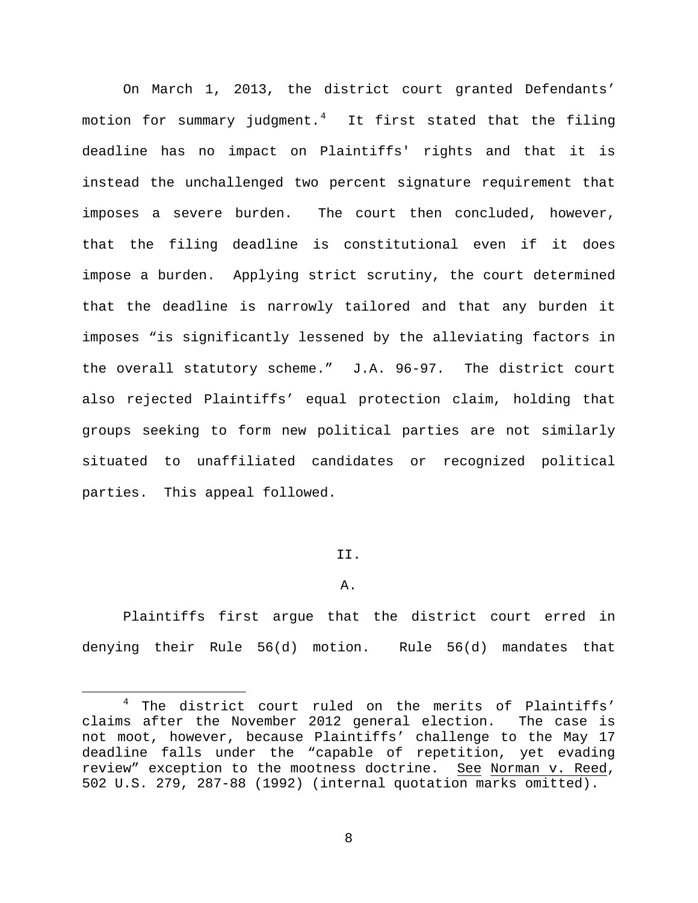On March 1, 2013, the district court granted Defendants' motion for summary judgment.[4](#page-7-0) It first stated that the filing deadline has no impact on Plaintiffs' rights and that it is instead the unchallenged two percent signature requirement that imposes a severe burden. The court then concluded, however, that the filing deadline is constitutional even if it does impose a burden. Applying strict scrutiny, the court determined that the deadline is narrowly tailored and that any burden it imposes "is significantly lessened by the alleviating factors in the overall statutory scheme." J.A. 96-97. The district court also rejected Plaintiffs' equal protection claim, holding that groups seeking to form new political parties are not similarly situated to unaffiliated candidates or recognized political parties. This appeal followed.

# II.

#### A.

Plaintiffs first argue that the district court erred in denying their Rule 56(d) motion. Rule 56(d) mandates that

<span id="page-7-0"></span><sup>&</sup>lt;sup>4</sup> The district court ruled on the merits of Plaintiffs' claims after the November 2012 general election. The case is not moot, however, because Plaintiffs' challenge to the May 17 deadline falls under the "capable of repetition, yet evading review" exception to the mootness doctrine. See Norman v. Reed, 502 U.S. 279, 287-88 (1992) (internal quotation marks omitted).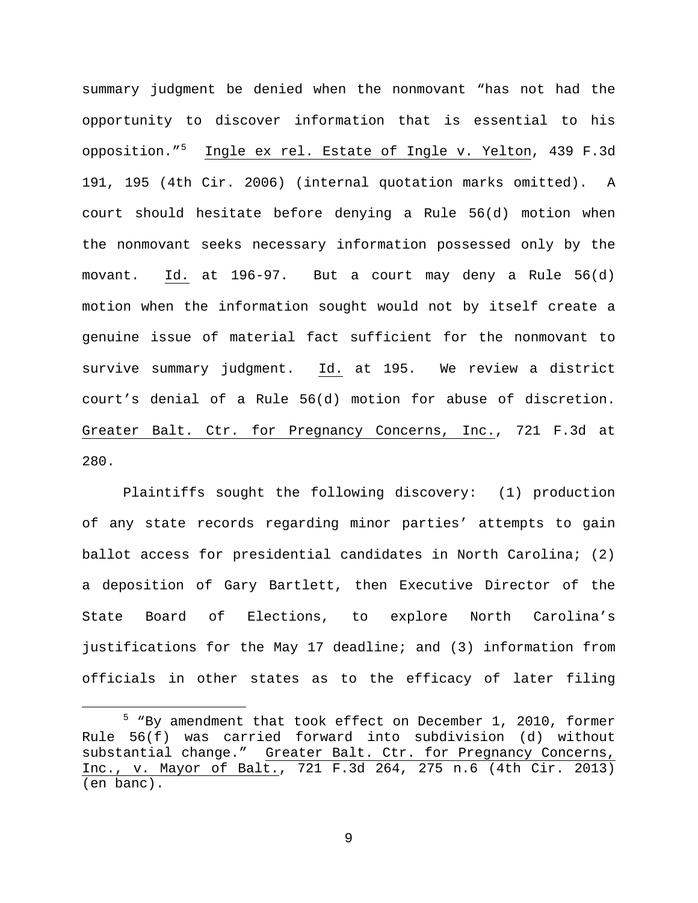summary judgment be denied when the nonmovant "has not had the opportunity to discover information that is essential to his opposition."<sup>[5](#page-8-0)</sup> Ingle ex rel. Estate of Ingle v. Yelton, 439 F.3d 191, 195 (4th Cir. 2006) (internal quotation marks omitted). A court should hesitate before denying a Rule 56(d) motion when the nonmovant seeks necessary information possessed only by the movant. Id. at 196-97. But a court may deny a Rule 56(d) motion when the information sought would not by itself create a genuine issue of material fact sufficient for the nonmovant to survive summary judgment. Id. at 195. We review a district court's denial of a Rule 56(d) motion for abuse of discretion. Greater Balt. Ctr. for Pregnancy Concerns, Inc., 721 F.3d at 280.

Plaintiffs sought the following discovery: (1) production of any state records regarding minor parties' attempts to gain ballot access for presidential candidates in North Carolina; (2) a deposition of Gary Bartlett, then Executive Director of the State Board of Elections, to explore North Carolina's justifications for the May 17 deadline; and (3) information from officials in other states as to the efficacy of later filing

<span id="page-8-0"></span> <sup>5</sup> "By amendment that took effect on December 1, 2010, former Rule 56(f) was carried forward into subdivision (d) without substantial change." Greater Balt. Ctr. for Pregnancy Concerns, Inc., v. Mayor of Balt., 721 F.3d 264, 275 n.6 (4th Cir. 2013) (en banc).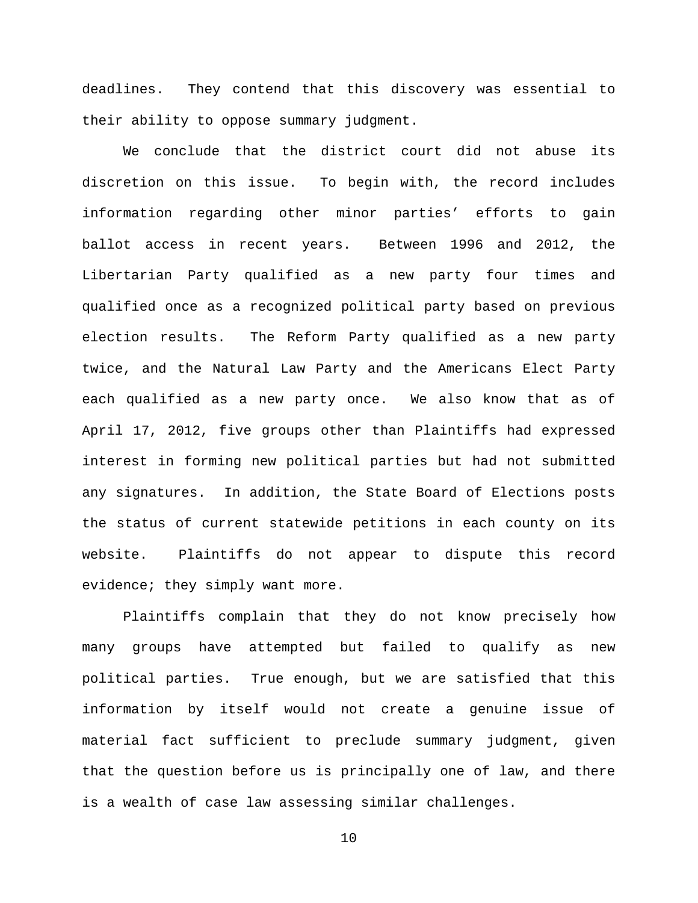deadlines. They contend that this discovery was essential to their ability to oppose summary judgment.

We conclude that the district court did not abuse its discretion on this issue. To begin with, the record includes information regarding other minor parties' efforts to gain ballot access in recent years. Between 1996 and 2012, the Libertarian Party qualified as a new party four times and qualified once as a recognized political party based on previous election results. The Reform Party qualified as a new party twice, and the Natural Law Party and the Americans Elect Party each qualified as a new party once. We also know that as of April 17, 2012, five groups other than Plaintiffs had expressed interest in forming new political parties but had not submitted any signatures. In addition, the State Board of Elections posts the status of current statewide petitions in each county on its website. Plaintiffs do not appear to dispute this record evidence; they simply want more.

Plaintiffs complain that they do not know precisely how many groups have attempted but failed to qualify as new political parties. True enough, but we are satisfied that this information by itself would not create a genuine issue of material fact sufficient to preclude summary judgment, given that the question before us is principally one of law, and there is a wealth of case law assessing similar challenges.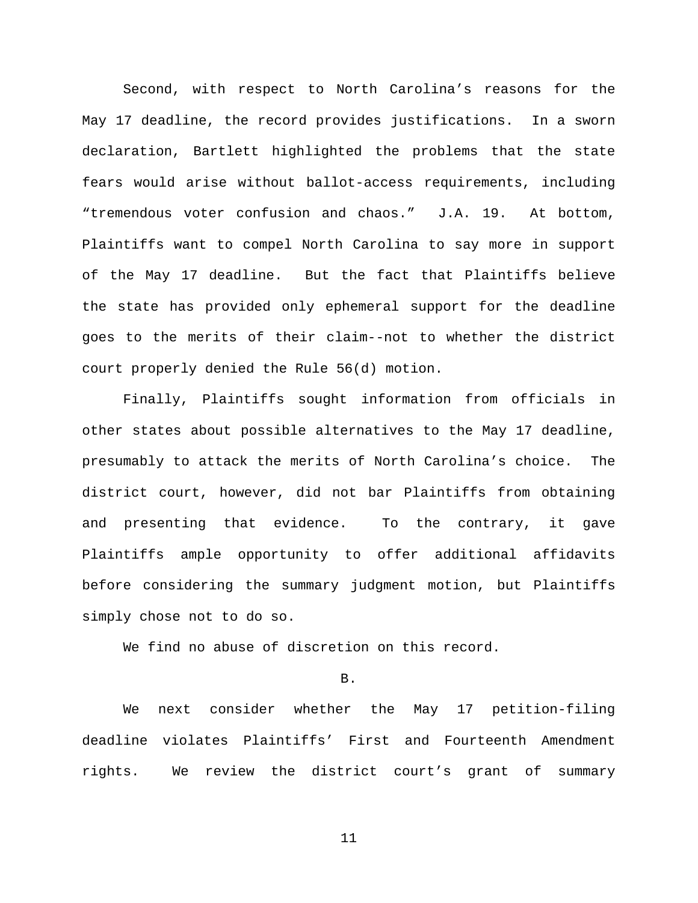Second, with respect to North Carolina's reasons for the May 17 deadline, the record provides justifications. In a sworn declaration, Bartlett highlighted the problems that the state fears would arise without ballot-access requirements, including "tremendous voter confusion and chaos." J.A. 19. At bottom, Plaintiffs want to compel North Carolina to say more in support of the May 17 deadline. But the fact that Plaintiffs believe the state has provided only ephemeral support for the deadline goes to the merits of their claim--not to whether the district court properly denied the Rule 56(d) motion.

Finally, Plaintiffs sought information from officials in other states about possible alternatives to the May 17 deadline, presumably to attack the merits of North Carolina's choice. The district court, however, did not bar Plaintiffs from obtaining and presenting that evidence. To the contrary, it gave Plaintiffs ample opportunity to offer additional affidavits before considering the summary judgment motion, but Plaintiffs simply chose not to do so.

We find no abuse of discretion on this record.

## B.

We next consider whether the May 17 petition-filing deadline violates Plaintiffs' First and Fourteenth Amendment rights. We review the district court's grant of summary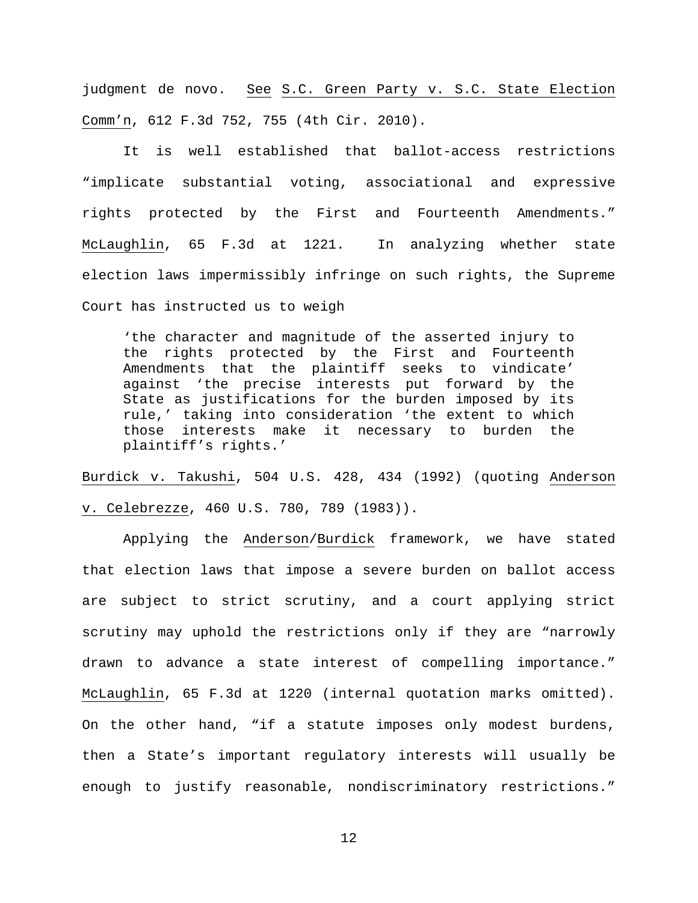judgment de novo. See S.C. Green Party v. S.C. State Election Comm'n, 612 F.3d 752, 755 (4th Cir. 2010).

It is well established that ballot-access restrictions "implicate substantial voting, associational and expressive rights protected by the First and Fourteenth Amendments." McLaughlin, 65 F.3d at 1221. In analyzing whether state election laws impermissibly infringe on such rights, the Supreme Court has instructed us to weigh

'the character and magnitude of the asserted injury to the rights protected by the First and Fourteenth Amendments that the plaintiff seeks to vindicate' against 'the precise interests put forward by the State as justifications for the burden imposed by its rule,' taking into consideration 'the extent to which those interests make it necessary to burden the plaintiff's rights.'

Burdick v. Takushi, 504 U.S. 428, 434 (1992) (quoting Anderson v. Celebrezze, 460 U.S. 780, 789 (1983)).

Applying the Anderson/Burdick framework, we have stated that election laws that impose a severe burden on ballot access are subject to strict scrutiny, and a court applying strict scrutiny may uphold the restrictions only if they are "narrowly drawn to advance a state interest of compelling importance." McLaughlin, 65 F.3d at 1220 (internal quotation marks omitted). On the other hand, "if a statute imposes only modest burdens, then a State's important regulatory interests will usually be enough to justify reasonable, nondiscriminatory restrictions."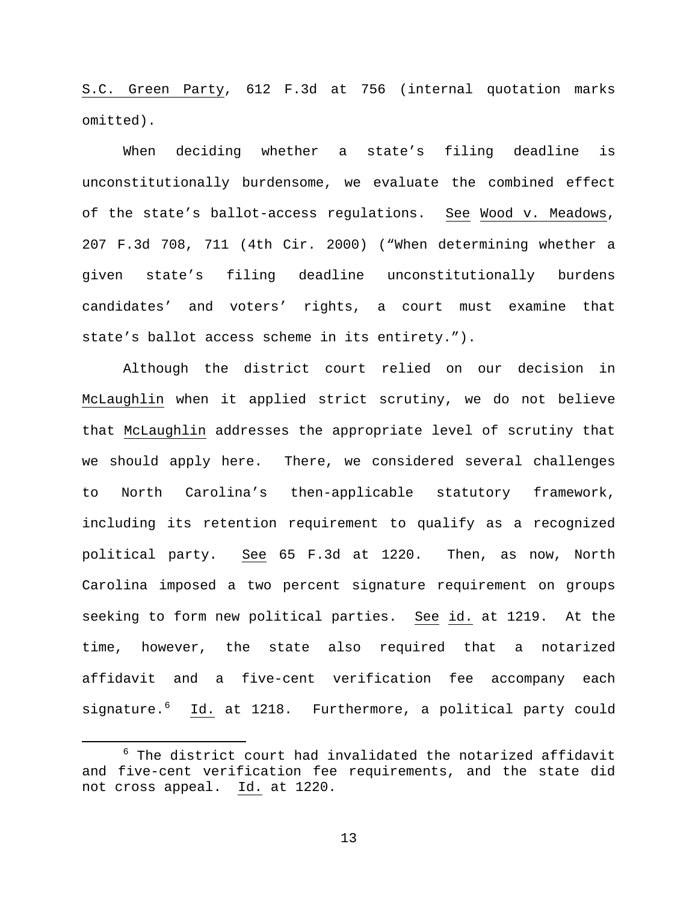S.C. Green Party, 612 F.3d at 756 (internal quotation marks omitted).

When deciding whether a state's filing deadline is unconstitutionally burdensome, we evaluate the combined effect of the state's ballot-access regulations. See Wood v. Meadows, 207 F.3d 708, 711 (4th Cir. 2000) ("When determining whether a given state's filing deadline unconstitutionally burdens candidates' and voters' rights, a court must examine that state's ballot access scheme in its entirety.").

Although the district court relied on our decision in McLaughlin when it applied strict scrutiny, we do not believe that McLaughlin addresses the appropriate level of scrutiny that we should apply here. There, we considered several challenges to North Carolina's then-applicable statutory framework, including its retention requirement to qualify as a recognized political party. See 65 F.3d at 1220. Then, as now, North Carolina imposed a two percent signature requirement on groups seeking to form new political parties. See id. at 1219. At the time, however, the state also required that a notarized affidavit and a five-cent verification fee accompany each signature.[6](#page-12-0) Id. at 1218. Furthermore, a political party could

<span id="page-12-0"></span> $6$  The district court had invalidated the notarized affidavit and five-cent verification fee requirements, and the state did not cross appeal. Id. at 1220.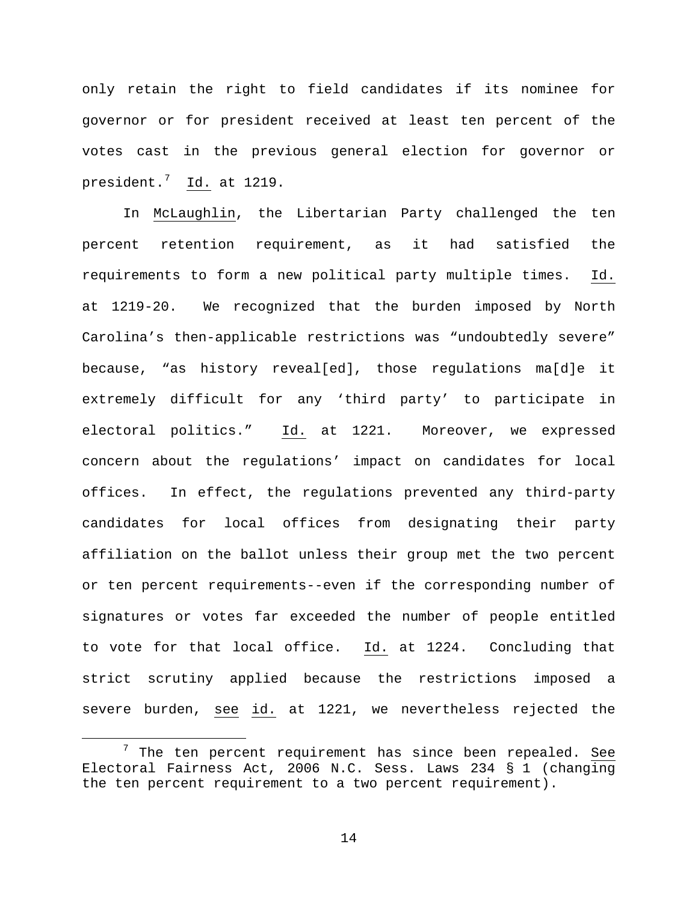only retain the right to field candidates if its nominee for governor or for president received at least ten percent of the votes cast in the previous general election for governor or president.[7](#page-13-0) Id. at 1219.

In McLaughlin, the Libertarian Party challenged the ten percent retention requirement, as it had satisfied the requirements to form a new political party multiple times. Id. at 1219-20. We recognized that the burden imposed by North Carolina's then-applicable restrictions was "undoubtedly severe" because, "as history reveal[ed], those regulations ma[d]e it extremely difficult for any 'third party' to participate in electoral politics." Id. at 1221. Moreover, we expressed concern about the regulations' impact on candidates for local offices. In effect, the regulations prevented any third-party candidates for local offices from designating their party affiliation on the ballot unless their group met the two percent or ten percent requirements--even if the corresponding number of signatures or votes far exceeded the number of people entitled to vote for that local office. Id. at 1224. Concluding that strict scrutiny applied because the restrictions imposed a severe burden, see id. at 1221, we nevertheless rejected the

<span id="page-13-0"></span> $7$  The ten percent requirement has since been repealed. See Electoral Fairness Act, 2006 N.C. Sess. Laws 234 § 1 (changing the ten percent requirement to a two percent requirement).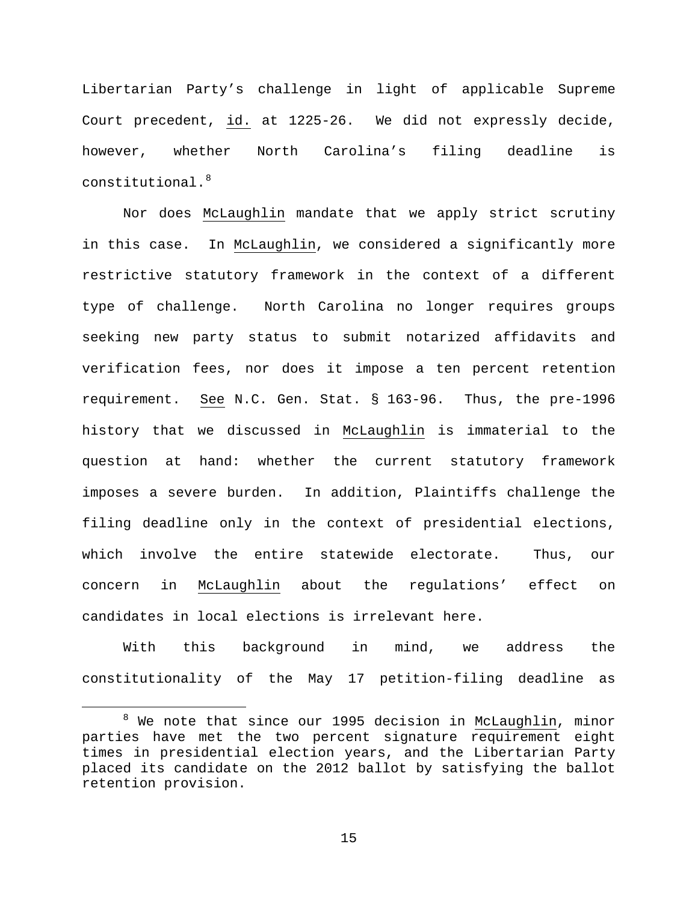Libertarian Party's challenge in light of applicable Supreme Court precedent, id. at 1225-26. We did not expressly decide, however, whether North Carolina's filing deadline is constitutional.[8](#page-14-0)

Nor does McLaughlin mandate that we apply strict scrutiny in this case. In McLaughlin, we considered a significantly more restrictive statutory framework in the context of a different type of challenge. North Carolina no longer requires groups seeking new party status to submit notarized affidavits and verification fees, nor does it impose a ten percent retention requirement. See N.C. Gen. Stat. § 163-96. Thus, the pre-1996 history that we discussed in McLaughlin is immaterial to the question at hand: whether the current statutory framework imposes a severe burden. In addition, Plaintiffs challenge the filing deadline only in the context of presidential elections, which involve the entire statewide electorate. Thus, our concern in McLaughlin about the regulations' effect on candidates in local elections is irrelevant here.

With this background in mind, we address the constitutionality of the May 17 petition-filing deadline as

<span id="page-14-0"></span> $8$  We note that since our 1995 decision in McLaughlin, minor parties have met the two percent signature requirement eight times in presidential election years, and the Libertarian Party placed its candidate on the 2012 ballot by satisfying the ballot retention provision.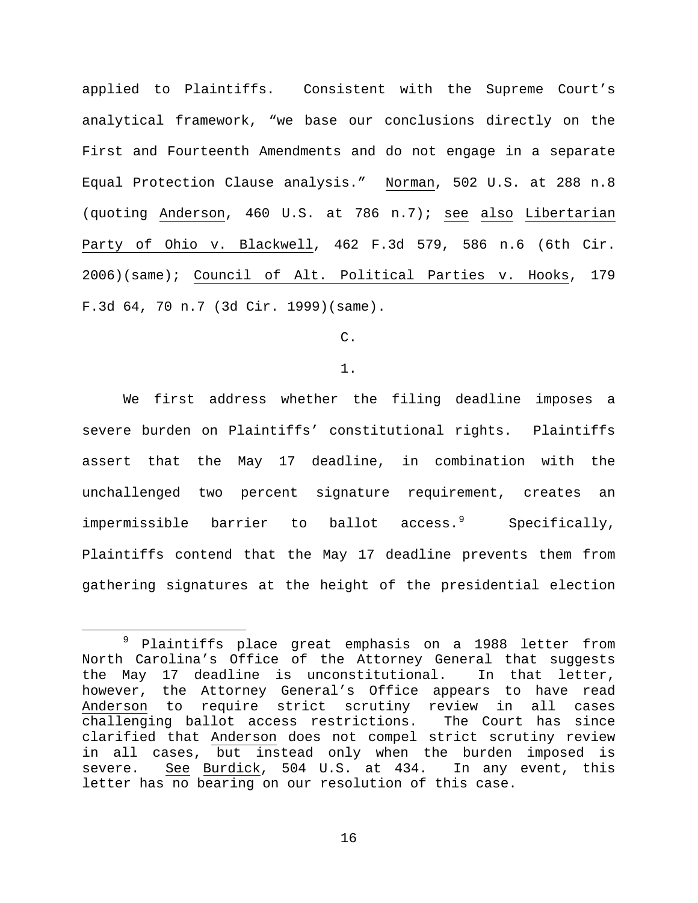applied to Plaintiffs. Consistent with the Supreme Court's analytical framework, "we base our conclusions directly on the First and Fourteenth Amendments and do not engage in a separate Equal Protection Clause analysis." Norman, 502 U.S. at 288 n.8 (quoting Anderson, 460 U.S. at 786 n.7); see also Libertarian Party of Ohio v. Blackwell, 462 F.3d 579, 586 n.6 (6th Cir. 2006)(same); Council of Alt. Political Parties v. Hooks, 179 F.3d 64, 70 n.7 (3d Cir. 1999)(same).

# C.

## 1.

We first address whether the filing deadline imposes a severe burden on Plaintiffs' constitutional rights.Plaintiffs assert that the May 17 deadline, in combination with the unchallenged two percent signature requirement, creates an impermissible barrier to ballot access.[9](#page-15-0) Specifically, Plaintiffs contend that the May 17 deadline prevents them from gathering signatures at the height of the presidential election

<span id="page-15-0"></span> <sup>9</sup> Plaintiffs place great emphasis on a 1988 letter from North Carolina's Office of the Attorney General that suggests the May 17 deadline is unconstitutional. In that letter, however, the Attorney General's Office appears to have read Anderson to require strict scrutiny review in all cases challenging ballot access restrictions. The Court has since clarified that Anderson does not compel strict scrutiny review in all cases, but instead only when the burden imposed is severe. See Burdick, 504 U.S. at 434. In any event, this letter has no bearing on our resolution of this case.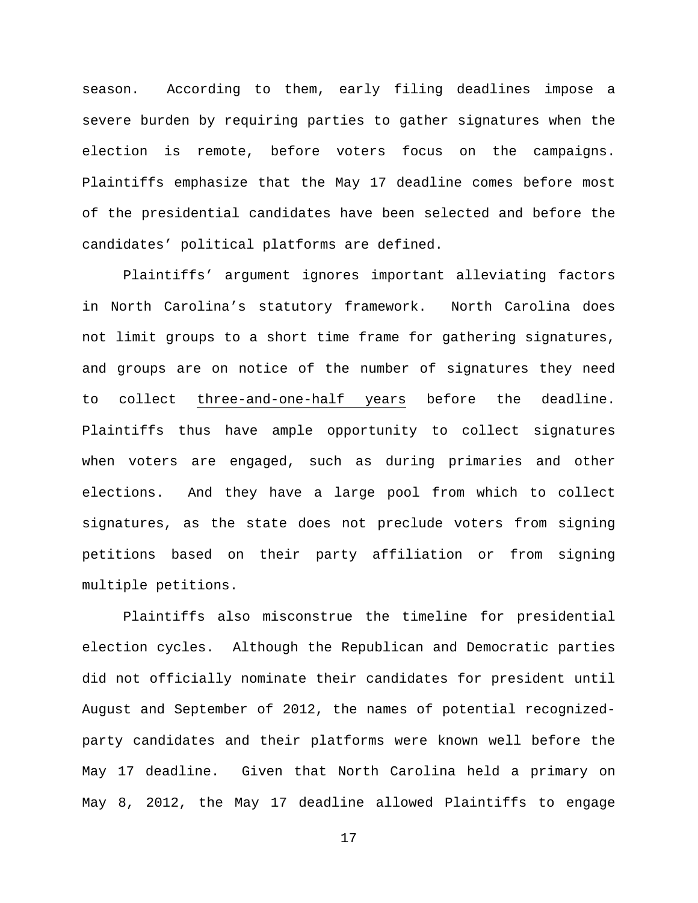season. According to them, early filing deadlines impose a severe burden by requiring parties to gather signatures when the election is remote, before voters focus on the campaigns. Plaintiffs emphasize that the May 17 deadline comes before most of the presidential candidates have been selected and before the candidates' political platforms are defined.

Plaintiffs' argument ignores important alleviating factors in North Carolina's statutory framework. North Carolina does not limit groups to a short time frame for gathering signatures, and groups are on notice of the number of signatures they need to collect three-and-one-half years before the deadline. Plaintiffs thus have ample opportunity to collect signatures when voters are engaged, such as during primaries and other elections. And they have a large pool from which to collect signatures, as the state does not preclude voters from signing petitions based on their party affiliation or from signing multiple petitions.

Plaintiffs also misconstrue the timeline for presidential election cycles. Although the Republican and Democratic parties did not officially nominate their candidates for president until August and September of 2012, the names of potential recognizedparty candidates and their platforms were known well before the May 17 deadline. Given that North Carolina held a primary on May 8, 2012, the May 17 deadline allowed Plaintiffs to engage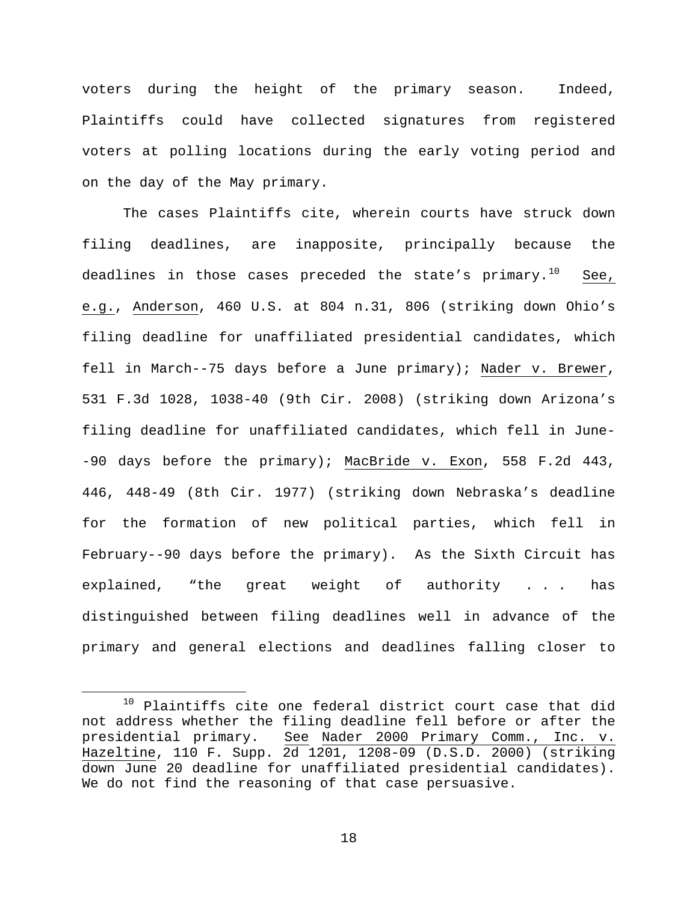voters during the height of the primary season. Indeed, Plaintiffs could have collected signatures from registered voters at polling locations during the early voting period and on the day of the May primary.

The cases Plaintiffs cite, wherein courts have struck down filing deadlines, are inapposite, principally because the deadlines in those cases preceded the state's primary. $^{10}$  $^{10}$  $^{10}$  See, e.g., Anderson, 460 U.S. at 804 n.31, 806 (striking down Ohio's filing deadline for unaffiliated presidential candidates, which fell in March--75 days before a June primary); Nader v. Brewer, 531 F.3d 1028, 1038-40 (9th Cir. 2008) (striking down Arizona's filing deadline for unaffiliated candidates, which fell in June- -90 days before the primary); MacBride v. Exon, 558 F.2d 443, 446, 448-49 (8th Cir. 1977) (striking down Nebraska's deadline for the formation of new political parties, which fell in February--90 days before the primary). As the Sixth Circuit has explained, "the great weight of authority . . . has distinguished between filing deadlines well in advance of the primary and general elections and deadlines falling closer to

<span id="page-17-0"></span><sup>&</sup>lt;sup>10</sup> Plaintiffs cite one federal district court case that did not address whether the filing deadline fell before or after the See Nader 2000 Primary Comm., Inc. v. Hazeltine, 110 F. Supp. 2d 1201, 1208-09 (D.S.D. 2000) (striking down June 20 deadline for unaffiliated presidential candidates). We do not find the reasoning of that case persuasive.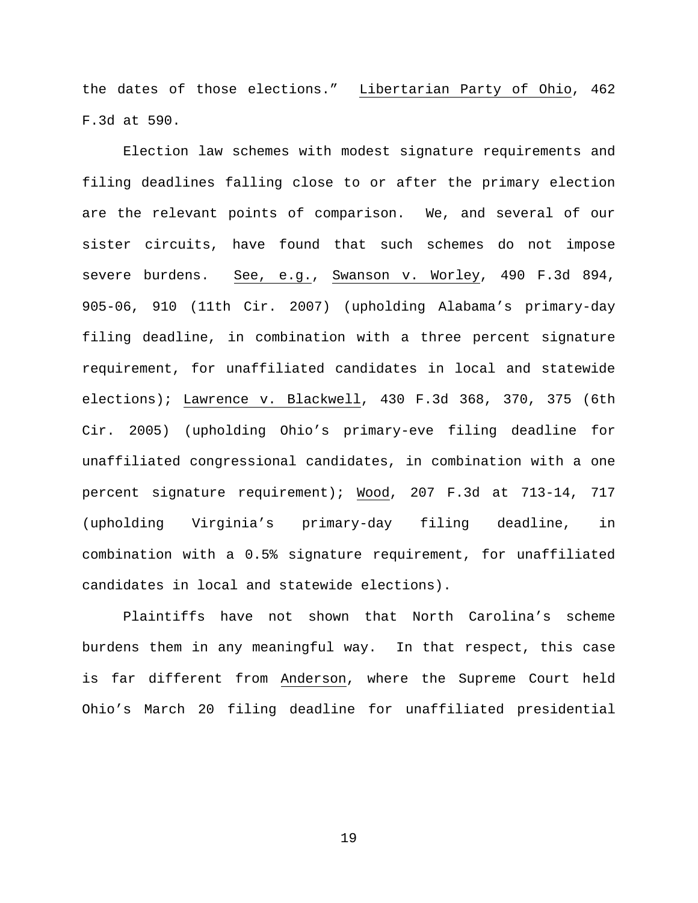the dates of those elections." Libertarian Party of Ohio, 462 F.3d at 590.

Election law schemes with modest signature requirements and filing deadlines falling close to or after the primary election are the relevant points of comparison. We, and several of our sister circuits, have found that such schemes do not impose severe burdens. See, e.g., Swanson v. Worley, 490 F.3d 894, 905-06, 910 (11th Cir. 2007) (upholding Alabama's primary-day filing deadline, in combination with a three percent signature requirement, for unaffiliated candidates in local and statewide elections); Lawrence v. Blackwell, 430 F.3d 368, 370, 375 (6th Cir. 2005) (upholding Ohio's primary-eve filing deadline for unaffiliated congressional candidates, in combination with a one percent signature requirement); Wood, 207 F.3d at 713-14, 717 (upholding Virginia's primary-day filing deadline, in combination with a 0.5% signature requirement, for unaffiliated candidates in local and statewide elections).

Plaintiffs have not shown that North Carolina's scheme burdens them in any meaningful way. In that respect, this case is far different from Anderson, where the Supreme Court held Ohio's March 20 filing deadline for unaffiliated presidential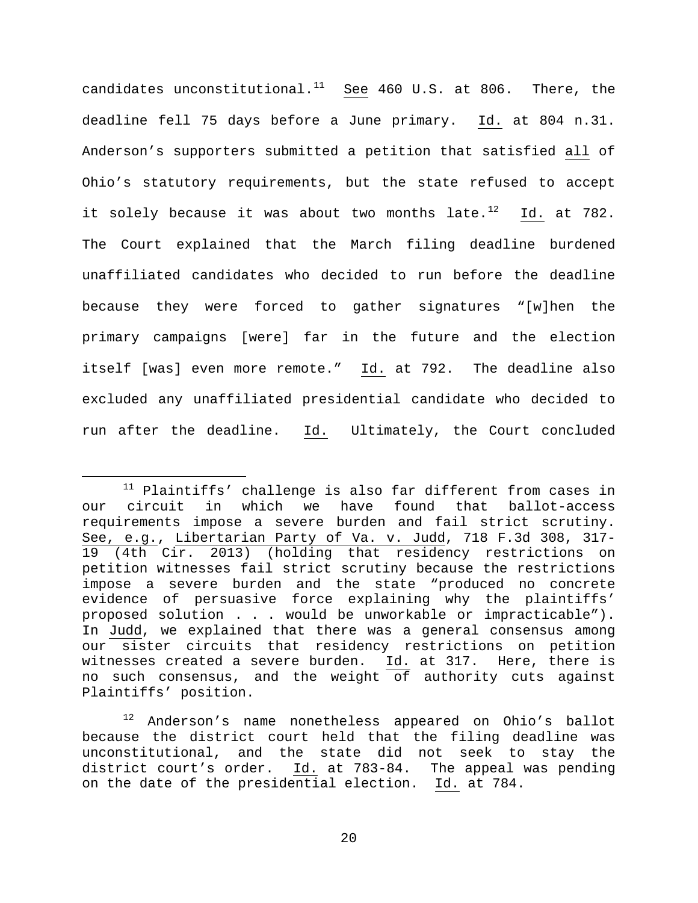candidates unconstitutional.<sup>11</sup> See 460 U.S. at 806. There, the deadline fell 75 days before a June primary. Id. at 804 n.31. Anderson's supporters submitted a petition that satisfied all of Ohio's statutory requirements, but the state refused to accept it solely because it was about two months late. $^{12}$  Id. at 782. The Court explained that the March filing deadline burdened unaffiliated candidates who decided to run before the deadline because they were forced to gather signatures "[w]hen the primary campaigns [were] far in the future and the election itself [was] even more remote." Id. at 792. The deadline also excluded any unaffiliated presidential candidate who decided to run after the deadline. Id. Ultimately, the Court concluded

<span id="page-19-0"></span> $11$  Plaintiffs' challenge is also far different from cases in circuit in which we have found that ballot-access our circuit in which we have found requirements impose a severe burden and fail strict scrutiny. See, e.g., Libertarian Party of Va. v. Judd, 718 F.3d 308, 317- 19 (4th Cir. 2013) (holding that residency restrictions on petition witnesses fail strict scrutiny because the restrictions impose a severe burden and the state "produced no concrete evidence of persuasive force explaining why the plaintiffs' proposed solution . . . would be unworkable or impracticable"). In Judd, we explained that there was a general consensus among our sister circuits that residency restrictions on petition witnesses created a severe burden. Id. at 317. Here, there is no such consensus, and the weight of authority cuts against Plaintiffs' position.

<span id="page-19-1"></span><sup>&</sup>lt;sup>12</sup> Anderson's name nonetheless appeared on Ohio's ballot because the district court held that the filing deadline was unconstitutional, and the state did not seek to stay the district court's order. Id. at 783-84. The appeal was pending on the date of the presidential election. Id. at 784.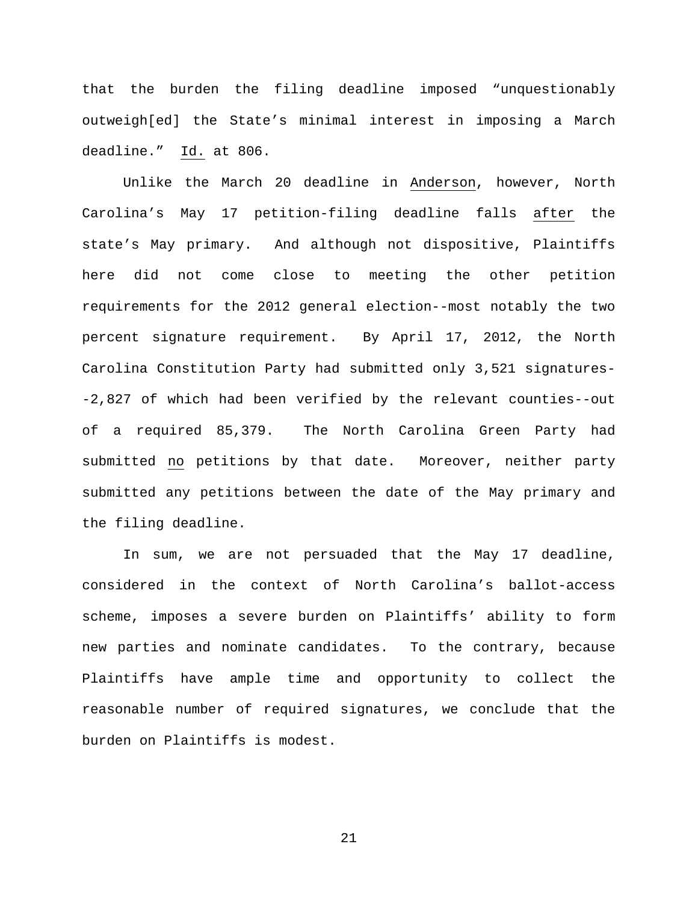that the burden the filing deadline imposed "unquestionably outweigh[ed] the State's minimal interest in imposing a March deadline." Id. at 806.

Unlike the March 20 deadline in Anderson, however, North Carolina's May 17 petition-filing deadline falls after the state's May primary. And although not dispositive, Plaintiffs here did not come close to meeting the other petition requirements for the 2012 general election--most notably the two percent signature requirement. By April 17, 2012, the North Carolina Constitution Party had submitted only 3,521 signatures- -2,827 of which had been verified by the relevant counties--out of a required 85,379. The North Carolina Green Party had submitted no petitions by that date. Moreover, neither party submitted any petitions between the date of the May primary and the filing deadline.

In sum, we are not persuaded that the May 17 deadline, considered in the context of North Carolina's ballot-access scheme, imposes a severe burden on Plaintiffs' ability to form new parties and nominate candidates. To the contrary, because Plaintiffs have ample time and opportunity to collect the reasonable number of required signatures, we conclude that the burden on Plaintiffs is modest.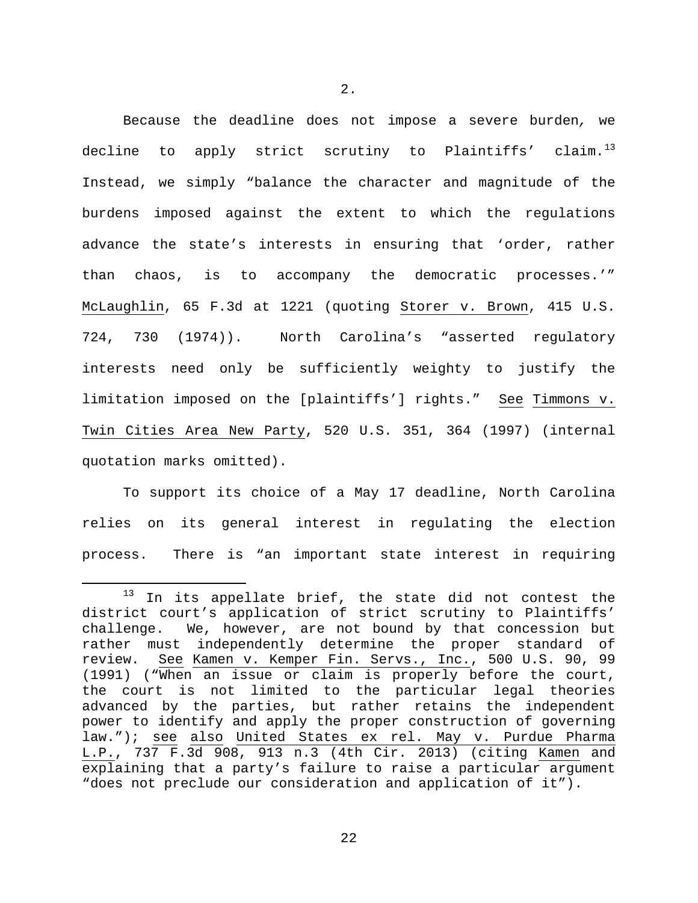Because the deadline does not impose a severe burden*,* we decline to apply strict scrutiny to Plaintiffs' claim.<sup>[13](#page-21-0)</sup> Instead, we simply "balance the character and magnitude of the burdens imposed against the extent to which the regulations advance the state's interests in ensuring that 'order, rather than chaos, is to accompany the democratic processes.'" McLaughlin, 65 F.3d at 1221 (quoting Storer v. Brown, 415 U.S. 724, 730 (1974)). North Carolina's "asserted regulatory interests need only be sufficiently weighty to justify the limitation imposed on the [plaintiffs'] rights." See Timmons v. Twin Cities Area New Party, 520 U.S. 351, 364 (1997) (internal quotation marks omitted).

To support its choice of a May 17 deadline, North Carolina relies on its general interest in regulating the election process. There is "an important state interest in requiring

<span id="page-21-0"></span> $13$  In its appellate brief, the state did not contest the district court's application of strict scrutiny to Plaintiffs' challenge. We, however, are not bound by that concession but rather must independently determine the proper standard of review. See Kamen v. Kemper Fin. Servs., Inc., 500 U.S. 90, 99 (1991) ("When an issue or claim is properly before the court, the court is not limited to the particular legal theories advanced by the parties, but rather retains the independent power to identify and apply the proper construction of governing law."); see also United States ex rel. May v. Purdue Pharma L.P., 737 F.3d 908, 913 n.3 (4th Cir. 2013) (citing Kamen and explaining that a party's failure to raise a particular argument "does not preclude our consideration and application of it").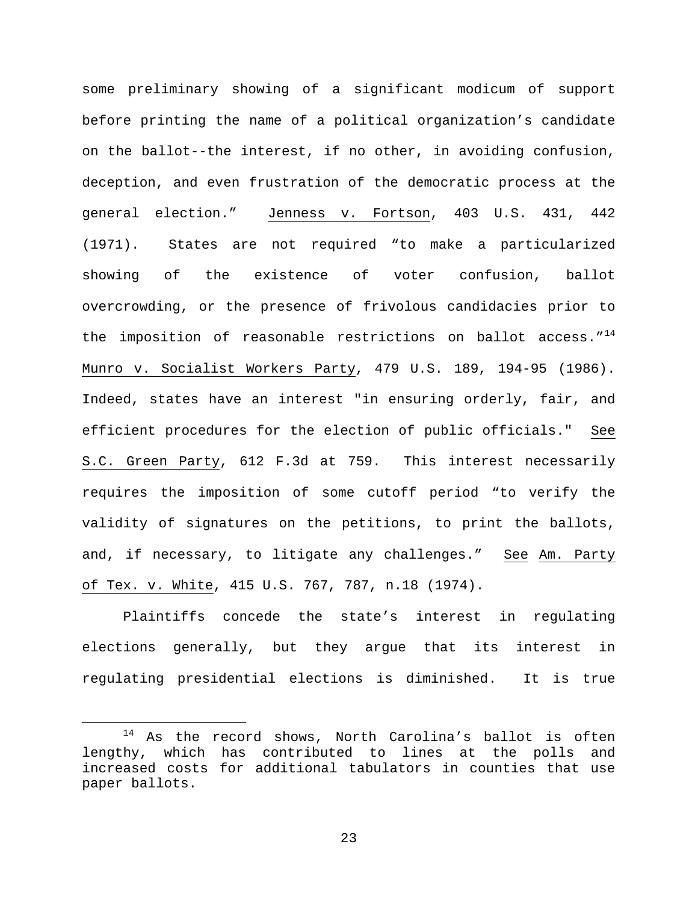some preliminary showing of a significant modicum of support before printing the name of a political organization's candidate on the ballot--the interest, if no other, in avoiding confusion, deception, and even frustration of the democratic process at the general election." Jenness v. Fortson, 403 U.S. 431, 442 (1971). States are not required "to make a particularized showing of the existence of voter confusion, ballot overcrowding, or the presence of frivolous candidacies prior to the imposition of reasonable restrictions on ballot access. $14$ Munro v. Socialist Workers Party, 479 U.S. 189, 194-95 (1986). Indeed, states have an interest "in ensuring orderly, fair, and efficient procedures for the election of public officials." See S.C. Green Party, 612 F.3d at 759. This interest necessarily requires the imposition of some cutoff period "to verify the validity of signatures on the petitions, to print the ballots, and, if necessary, to litigate any challenges." See Am. Party of Tex. v. White, 415 U.S. 767, 787, n.18 (1974).

Plaintiffs concede the state's interest in regulating elections generally, but they argue that its interest in regulating presidential elections is diminished. It is true

<span id="page-22-0"></span><sup>&</sup>lt;sup>14</sup> As the record shows, North Carolina's ballot is often lengthy, which has contributed to lines at the polls and increased costs for additional tabulators in counties that use paper ballots.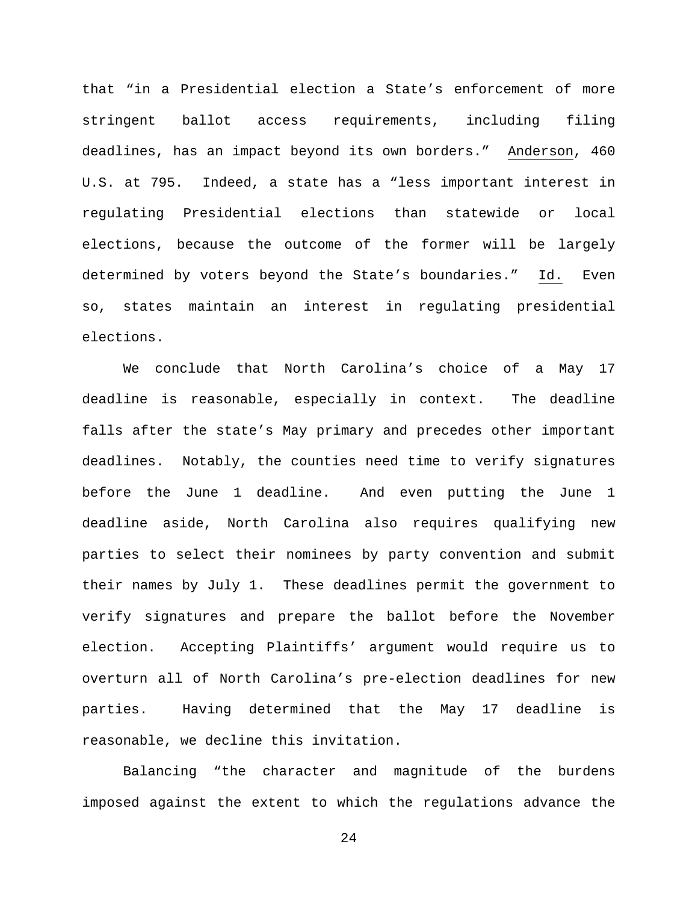that "in a Presidential election a State's enforcement of more stringent ballot access requirements, including filing deadlines, has an impact beyond its own borders." Anderson, 460 U.S. at 795. Indeed, a state has a "less important interest in regulating Presidential elections than statewide or local elections, because the outcome of the former will be largely determined by voters beyond the State's boundaries." Id. Even so, states maintain an interest in regulating presidential elections.

We conclude that North Carolina's choice of a May 17 deadline is reasonable, especially in context. The deadline falls after the state's May primary and precedes other important deadlines. Notably, the counties need time to verify signatures before the June 1 deadline. And even putting the June 1 deadline aside, North Carolina also requires qualifying new parties to select their nominees by party convention and submit their names by July 1. These deadlines permit the government to verify signatures and prepare the ballot before the November election. Accepting Plaintiffs' argument would require us to overturn all of North Carolina's pre-election deadlines for new parties. Having determined that the May 17 deadline is reasonable, we decline this invitation.

Balancing "the character and magnitude of the burdens imposed against the extent to which the regulations advance the